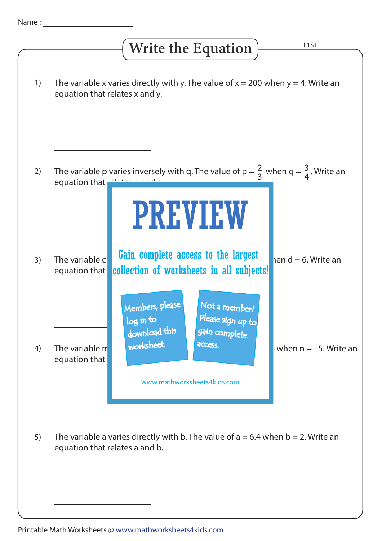## The variable x varies directly with y. The value of  $x = 200$  when  $y = 4$ . Write an equation that relates x and y. The variable c **Gain complete access to the largest**  $\begin{bmatrix} 1 & 0 \\ 0 & 1 \end{bmatrix}$  en d = 6. Write an equation that **collection of worksheets in all subjects!** The variable m variable m variable m variable m variable m variable m variable of m  $\sim$  14 when n = –5. Write an equation that The variable a varies directly with b. The value of  $a = 6.4$  when  $b = 2$ . Write an equation that relates a and b. 1) 2) 3) 4) 5) L1S1 **Write the Equation** The variable p varies inversely with q. The value of  $p = \frac{2}{3}$  when q =  $\frac{3}{4}$ . Write an equation that relation and q. 4 2 3 PREVIEW www.mathworksheets4kids.com Members, please download this worksheet. log in to Not a member? gain complete Please sign up to **access**